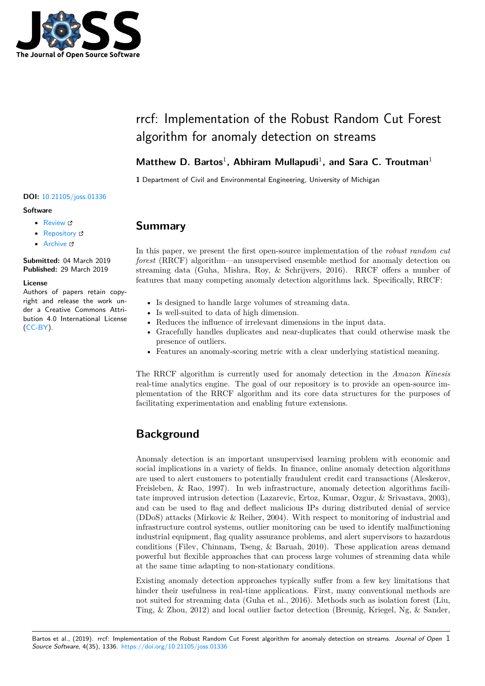

# rrcf: Implementation of the Robust Random Cut Forest algorithm for anomaly detection on streams

### Matthew D. Bartos<sup>1</sup>, Abhiram Mullapudi<sup>1</sup>, and Sara C. Troutman<sup>1</sup>

**1** Department of Civil and Environmental Engineering, University of Michigan

### **DOI:** 10.21105/joss.01336

#### **Software**

- Review &
- [Repository](https://doi.org/10.21105/joss.01336) &
- Archive C

**Subm[itted:](https://github.com/openjournals/joss-reviews/issues/1336)** 04 March 2019 **Published:** [29 M](https://github.com/kLabUM/rrcf)arch 2019

#### **Licen[se](https://doi.org/10.5281/zenodo.2613881)**

Authors of papers retain copyright and release the work under a Creative Commons Attribution 4.0 International License (CC-BY).

## **Summary**

In this paper, we present the first open-source implementation of the *robust random cut forest* (RRCF) algorithm—an unsupervised ensemble method for anomaly detection on streaming data (Guha, Mishra, Roy, & Schrijvers, 2016). RRCF offers a number of features that many competing anomaly detection algorithms lack. Specifically, RRCF:

- Is designed to handle large volumes of streaming data.
- Is well-suited to data of high dimension.
- Reduces the influence of irrelevant dimensions in the input data.
- Gracefully handles duplicates and near-duplicates that could otherwise mask the presence of outliers.
- Features an anomaly-scoring metric with a clear underlying statistical meaning.

The RRCF algorithm is currently used for anomaly detection in the *Amazon Kinesis* real-time analytics engine. The goal of our repository is to provide an open-source implementation of the RRCF algorithm and its core data structures for the purposes of facilitating experimentation and enabling future extensions.

## **Background**

Anomaly detection is an important unsupervised learning problem with economic and social implications in a variety of fields. In finance, online anomaly detection algorithms are used to alert customers to potentially fraudulent credit card transactions (Aleskerov, Freisleben, & Rao, 1997). In web infrastructure, anomaly detection algorithms facilitate improved intrusion detection (Lazarevic, Ertoz, Kumar, Ozgur, & Srivastava, 2003), and can be used to flag and deflect malicious IPs during distributed denial of service (DDoS) attacks (Mirkovic & Reiher, 2004). With respect to monitoring of industrial and infrastructure control systems, outlier monitoring can be used to identify malfunctioning industrial equipment, flag quality assurance problems, and alert supervisors to hazardous conditions (Filev, Chinnam, Tseng, & Baruah, 2010). These application areas demand powerful but flexible approaches that can process large volumes of streaming data while at the same time adapting to non-stationary conditions.

Existing anomaly detection approaches typically suffer from a few key limitations that hinder their usefulness in real-time applications. First, many conventional methods are not suited for streaming data (Guha et al., 2016). Methods such as isolation forest (Liu, Ting, & Zhou, 2012) and local outlier factor detection (Breunig, Kriegel, Ng, & Sander,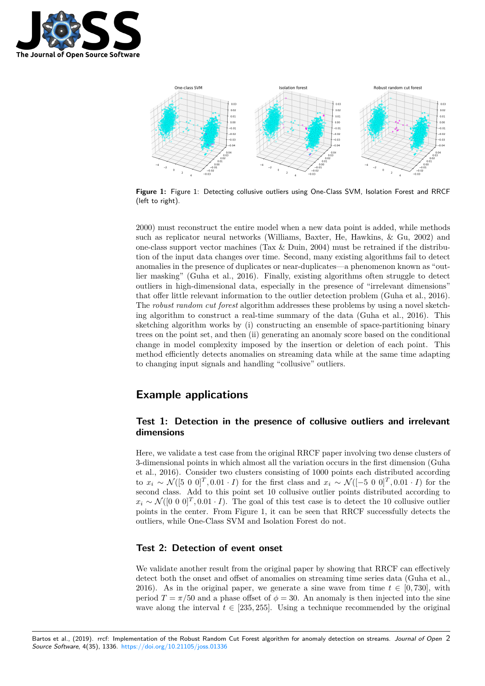



**Figure 1:** Figure 1: Detecting collusive outliers using One-Class SVM, Isolation Forest and RRCF (left to right).

2000) must reconstruct the entire model when a new data point is added, while methods such as replicator neural networks (Williams, Baxter, He, Hawkins, & Gu, 2002) and one-class support vector machines (Tax  $&$  Duin, 2004) must be retrained if the distribution of the input data changes over time. Second, many existing algorithms fail to detect anomalies in the presence of duplicates or near-duplicates—a phenomenon known as "outlier masking" (Guha et al., 2016). Finally, existing algorithms often struggle to detect outliers in high-dimensional data, especially in the presence of "irrelevant dimensions" that offer little relevant information to the outlier detection problem (Guha et al., 2016). The *robust random cut forest* algorithm addresses these problems by using a novel sketching algorithm to construct a real-time summary of the data (Guha et al., 2016). This sketching algorithm works by (i) constructing an ensemble of space-partitioning binary trees on the point set, and then (ii) generating an anomaly score based on the conditional change in model complexity imposed by the insertion or deletion of each point. This method efficiently detects anomalies on streaming data while at the same time adapting to changing input signals and handling "collusive" outliers.

### **Example applications**

### **Test 1: Detection in the presence of collusive outliers and irrelevant dimensions**

Here, we validate a test case from the original RRCF paper involving two dense clusters of 3-dimensional points in which almost all the variation occurs in the first dimension (Guha et al., 2016). Consider two clusters consisting of 1000 points each distributed according to *x*<sub>*i*</sub>  $\sim$   $\mathcal{N}([5 \ 0 \ 0]^T, 0.01 \cdot I)$  for the first class and *x<sub>i</sub>*  $\sim$   $\mathcal{N}([-5 \ 0 \ 0]^T, 0.01 \cdot I)$  for the second class. Add to this point set 10 collusive outlier points distributed according to  $x_i \sim \mathcal{N}([0 \ 0 \ 0]^T, 0.01 \cdot I)$ . The goal of this test case is to detect the 10 collusive outlier points in the center. From Figure 1, it can be seen that RRCF successfully detects the outliers, while One-Class SVM and Isolation Forest do not.

### **Test 2: Detection of event onset**

We validate another result from the original paper by showing that RRCF can effectively detect both the onset and offset of anomalies on streaming time series data (Guha et al., 2016). As in the original paper, we generate a sine wave from time  $t \in [0, 730]$ , with period  $T = \pi/50$  and a phase offset of  $\phi = 30$ . An anomaly is then injected into the sine wave along the interval  $t \in [235, 255]$ . Using a technique recommended by the original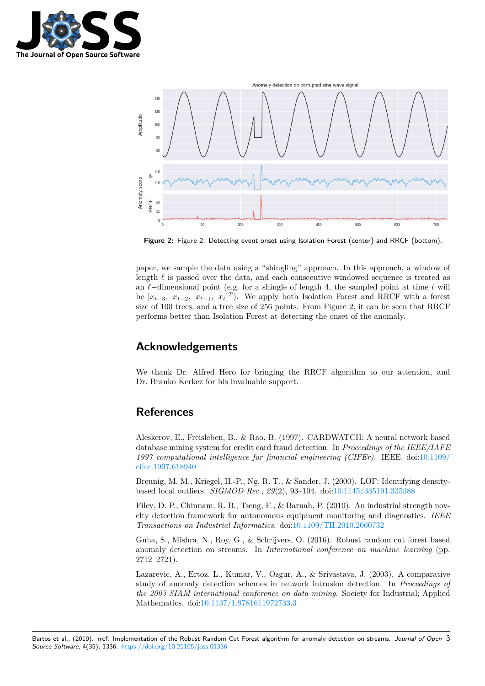



**Figure 2:** Figure 2: Detecting event onset using Isolation Forest (center) and RRCF (bottom).

paper, we sample the data using a "shingling" approach. In this approach, a window of length *ℓ* is passed over the data, and each consecutive windowed sequence is treated as an *ℓ−*dimensional point (e.g. for a shingle of length 4, the sampled point at time *t* will be  $[x_{t-3}, x_{t-2}, x_{t-1}, x_t]^T$ . We apply both Isolation Forest and RRCF with a forest size of 100 trees, and a tree size of 256 points. From Figure 2, it can be seen that RRCF performs better than Isolation Forest at detecting the onset of the anomaly.

## **Acknowledgements**

We thank Dr. Alfred Hero for bringing the RRCF algorithm to our attention, and Dr. Branko Kerkez for his invaluable support.

### **References**

Aleskerov, E., Freisleben, B., & Rao, B. (1997). CARDWATCH: A neural network based database mining system for credit card fraud detection. In *Proceedings of the IEEE/IAFE 1997 computational intelligence for financial engineering (CIFEr)*. IEEE. doi:10.1109/ cifer.1997.618940

Breunig, M. M., Kriegel, H.-P., Ng, R. T., & Sander, J. (2000). LOF: Identifying densitybased local outliers. *SIGMOD Rec.*, *29*(2), 93–104. doi:10.1145/335191.335388

[Filev, D. P., Chin](https://doi.org/10.1109/cifer.1997.618940)nam, R. B., Tseng, F., & Baruah, P. (2010). An industrial stre[ngth nov](https://doi.org/10.1109/cifer.1997.618940)elty detection framework for autonomous equipment monitoring and diagnostics. *IEEE Transactions on Industrial Informatics*. doi:10.1109/TI[I.2010.2060732](https://doi.org/10.1145/335191.335388)

Guha, S., Mishra, N., Roy, G., & Schrijvers, O. (2016). Robust random cut forest based anomaly detection on streams. In *International conference on machine learning* (pp. 2712–2721).

Lazarevic, A., Ertoz, L., Kumar, V., Ozgur[, A., & Srivastava, J. \(2003](https://doi.org/10.1109/TII.2010.2060732)). A comparative study of anomaly detection schemes in network intrusion detection. In *Proceedings of the 2003 SIAM international conference on data mining*. Society for Industrial; Applied Mathematics. doi:10.1137/1.9781611972733.3